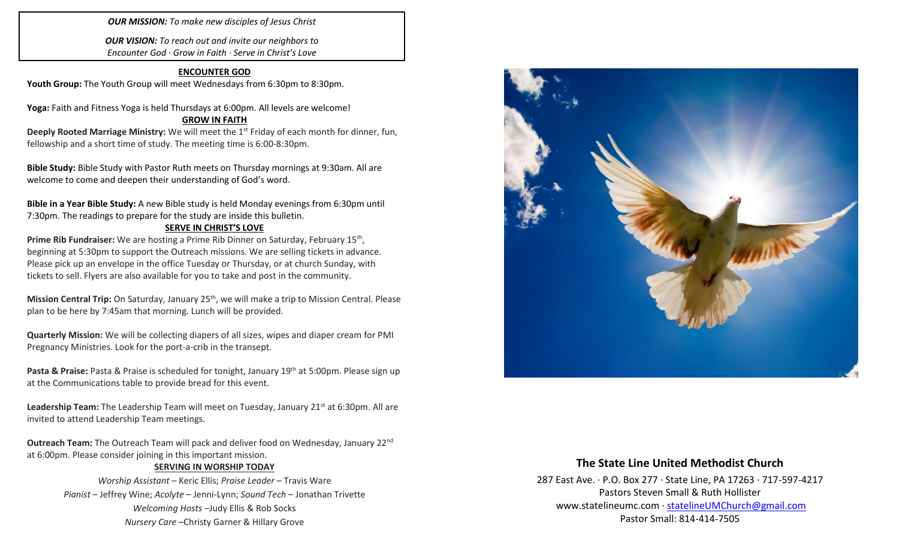*OUR MISSION: To make new disciples of Jesus Christ*

*OUR VISION: To reach out and invite our neighbors to Encounter God · Grow in Faith · Serve in Christ's Love*

### **ENCOUNTER GOD**

Youth Group: The Youth Group will meet Wednesdays from 6:30pm to 8:30pm.

**Yoga:** Faith and Fitness Yoga is held Thursdays at 6:00pm. All levels are welcome!

### **GROW IN FAITH**

**Deeply Rooted Marriage Ministry:** We will meet the 1<sup>st</sup> Friday of each month for dinner, fun, fellowship and a short time of study. The meeting time is 6:00-8:30pm.

**Bible Study:** Bible Study with Pastor Ruth meets on Thursday mornings at 9:30am. All are welcome to come and deepen their understanding of God's word.

**Bible in a Year Bible Study:** A new Bible study is held Monday evenings from 6:30pm until 7:30pm. The readings to prepare for the study are inside this bulletin.

### **SERVE IN CHRIST'S LOVE**

Prime Rib Fundraiser: We are hosting a Prime Rib Dinner on Saturday, February 15<sup>th</sup>, beginning at 5:30pm to support the Outreach missions. We are selling tickets in advance. Please pick up an envelope in the office Tuesday or Thursday, or at church Sunday, with tickets to sell. Flyers are also available for you to take and post in the community.

**Mission Central Trip:** On Saturday, January 25<sup>th</sup>, we will make a trip to Mission Central. Please plan to be here by 7:45am that morning. Lunch will be provided.

**Quarterly Mission:** We will be collecting diapers of all sizes, wipes and diaper cream for PMI Pregnancy Ministries. Look for the port-a-crib in the transept.

**Pasta & Praise:** Pasta & Praise is scheduled for tonight, January 19th at 5:00pm. Please sign up at the Communications table to provide bread for this event.

Leadership Team: The Leadership Team will meet on Tuesday, January 21<sup>st</sup> at 6:30pm. All are invited to attend Leadership Team meetings.

**Outreach Team:** The Outreach Team will pack and deliver food on Wednesday, January 22nd at 6:00pm. Please consider joining in this important mission.

### **SERVING IN WORSHIP TODAY**

*Worship Assistant* – Keric Ellis; *Praise Leader* – Travis Ware *Pianist* – Jeffrey Wine; *Acolyte* – Jenni-Lynn; *Sound Tech* – Jonathan Trivette *Welcoming Hosts* –Judy Ellis & Rob Socks *Nursery Care* –Christy Garner & Hillary Grove



# **The State Line United Methodist Church**

287 East Ave. · P.O. Box 277 · State Line, PA 17263 · 717-597-4217 Pastors Steven Small & Ruth Hollister [www.statelineumc.com](http://www.statelineumc.com/) · [statelineUMChurch@gmail.com](mailto:statelineUMChurch@gmail.com) Pastor Small: 814-414-7505